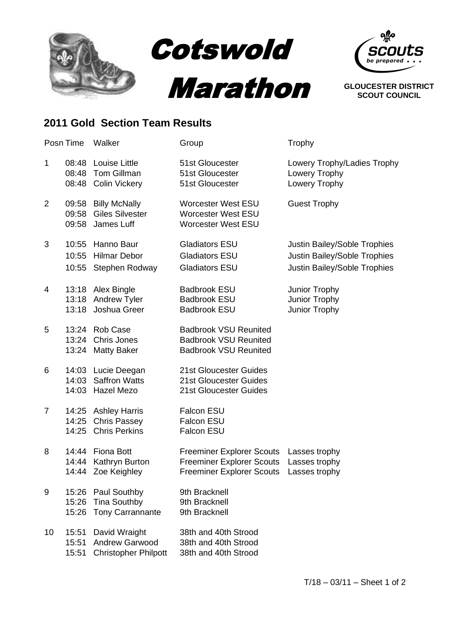

## **2011 Gold Section Team Results**

|                | Posn Time               | Walker                                                                | Group                                                                                                    | Trophy                                                                                       |
|----------------|-------------------------|-----------------------------------------------------------------------|----------------------------------------------------------------------------------------------------------|----------------------------------------------------------------------------------------------|
| $\mathbf{1}$   | 08:48<br>08:48<br>08:48 | Louise Little<br><b>Tom Gillman</b><br><b>Colin Vickery</b>           | 51st Gloucester<br>51st Gloucester<br>51st Gloucester                                                    | Lowery Trophy/Ladies Trophy<br>Lowery Trophy<br>Lowery Trophy                                |
| $\overline{2}$ | 09:58<br>09:58<br>09:58 | <b>Billy McNally</b><br><b>Giles Silvester</b><br>James Luff          | <b>Worcester West ESU</b><br><b>Worcester West ESU</b><br><b>Worcester West ESU</b>                      | <b>Guest Trophy</b>                                                                          |
| 3              | 10:55<br>10:55<br>10:55 | Hanno Baur<br><b>Hilmar Debor</b><br>Stephen Rodway                   | <b>Gladiators ESU</b><br><b>Gladiators ESU</b><br><b>Gladiators ESU</b>                                  | Justin Bailey/Soble Trophies<br>Justin Bailey/Soble Trophies<br>Justin Bailey/Soble Trophies |
| 4              | 13:18<br>13:18<br>13:18 | Alex Bingle<br>Andrew Tyler<br>Joshua Greer                           | <b>Badbrook ESU</b><br><b>Badbrook ESU</b><br><b>Badbrook ESU</b>                                        | Junior Trophy<br>Junior Trophy<br>Junior Trophy                                              |
| 5              | 13:24<br>13:24<br>13:24 | <b>Rob Case</b><br>Chris Jones<br><b>Matty Baker</b>                  | <b>Badbrook VSU Reunited</b><br><b>Badbrook VSU Reunited</b><br><b>Badbrook VSU Reunited</b>             |                                                                                              |
| 6              | 14:03<br>14:03<br>14:03 | Lucie Deegan<br><b>Saffron Watts</b><br>Hazel Mezo                    | 21st Gloucester Guides<br>21st Gloucester Guides<br>21st Gloucester Guides                               |                                                                                              |
| $\overline{7}$ | 14:25<br>14:25<br>14:25 | <b>Ashley Harris</b><br><b>Chris Passey</b><br><b>Chris Perkins</b>   | <b>Falcon ESU</b><br>Falcon ESU<br><b>Falcon ESU</b>                                                     |                                                                                              |
| 8              | 14:44<br>14:44<br>14:44 | <b>Fiona Bott</b><br>Kathryn Burton<br>Zoe Keighley                   | <b>Freeminer Explorer Scouts</b><br><b>Freeminer Explorer Scouts</b><br><b>Freeminer Explorer Scouts</b> | Lasses trophy<br>Lasses trophy<br>Lasses trophy                                              |
| 9              | 15:26<br>15:26<br>15:26 | Paul Southby<br><b>Tina Southby</b><br><b>Tony Carrannante</b>        | 9th Bracknell<br>9th Bracknell<br>9th Bracknell                                                          |                                                                                              |
| 10             | 15:51<br>15:51<br>15:51 | David Wraight<br><b>Andrew Garwood</b><br><b>Christopher Philpott</b> | 38th and 40th Strood<br>38th and 40th Strood<br>38th and 40th Strood                                     |                                                                                              |